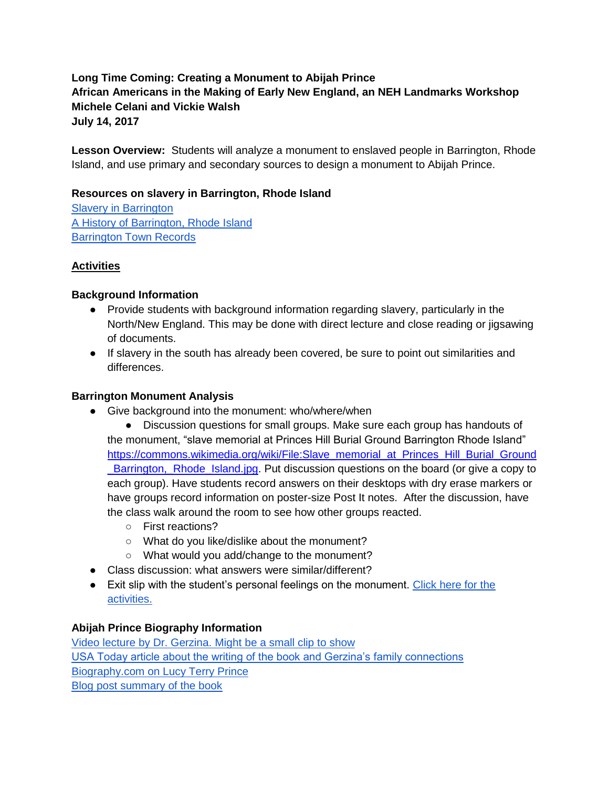# **Long Time Coming: Creating a Monument to Abijah Prince African Americans in the Making of Early New England, an NEH Landmarks Workshop Michele Celani and Vickie Walsh July 14, 2017**

**Lesson Overview:** Students will analyze a monument to enslaved people in Barrington, Rhode Island, and use primary and secondary sources to design a monument to Abijah Prince.

### **Resources on slavery in Barrington, Rhode Island**

**[Slavery in Barrington](http://www.rootsweb.ancestry.com/~ritttp/bristol/slaves.htm)** [A History of Barrington, Rhode Island](https://archive.org/stream/cu31924028840028/cu31924028840028_djvu.txt) [Barrington Town Records](http://www.rihs.org/mssinv/MSS187.htm)

# **Activities**

### **Background Information**

- Provide students with background information regarding slavery, particularly in the North/New England. This may be done with direct lecture and close reading or jigsawing of documents.
- If slavery in the south has already been covered, be sure to point out similarities and differences.

### **Barrington Monument Analysis**

- Give background into the monument: who/where/when
	- Discussion questions for small groups. Make sure each group has handouts of the monument, "slave memorial at Princes Hill Burial Ground Barrington Rhode Island" [https://commons.wikimedia.org/wiki/File:Slave\\_memorial\\_at\\_Princes\\_Hill\\_Burial\\_Ground](https://commons.wikimedia.org/wiki/File:Slave_memorial_at_Princes_Hill_Burial_Ground_Barrington,_Rhode_Island.jpg) [\\_Barrington,\\_Rhode\\_Island.jpg.](https://commons.wikimedia.org/wiki/File:Slave_memorial_at_Princes_Hill_Burial_Ground_Barrington,_Rhode_Island.jpg) Put discussion questions on the board (or give a copy to each group). Have students record answers on their desktops with dry erase markers or have groups record information on poster-size Post It notes. After the discussion, have the class walk around the room to see how other groups reacted.
		- First reactions?
		- What do you like/dislike about the monument?
		- What would you add/change to the monument?
- Class discussion: what answers were similar/different?
- Exit slip with the student's personal feelings on the monument. Click here for the [activities.](https://docs.google.com/document/d/1AZSwTQCl59XG9FOYBs_XhNWoBKFpWsa6n46yaC7Sba0/edit?usp=sharing)

### **Abijah Prince Biography Information**

[Video lecture by Dr. Gerzina. Might be a small clip to show](https://www.youtube.com/watch?v=HUArXmxoeCg) [USA Today article about the writing of the book and Gerzina's family connections](http://www.usatoday.com/news/nation/2008-03-03-gerzina-princes_N.htm) [Biography.com on Lucy Terry Prince](https://www.biography.com/people/lucy-terry-prince-100815) [Blog post summary of the book](https://curiositycomplex.wordpress.com/2010/02/18/today-we-learn-about-mr-and-mrs-prince/)